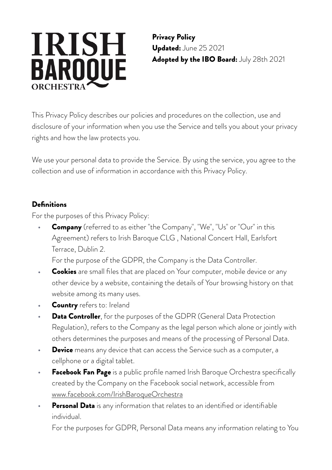# **IRISH BAROOUE** ORCHESTRA

Privacy Policy Updated: June 25 2021 Adopted by the IBO Board: July 28th 2021

This Privacy Policy describes our policies and procedures on the collection, use and disclosure of your information when you use the Service and tells you about your privacy rights and how the law protects you.

We use your personal data to provide the Service. By using the service, you agree to the collection and use of information in accordance with this Privacy Policy.

## **Definitions**

For the purposes of this Privacy Policy:

**•** Company (referred to as either "the Company", "We", "Us" or "Our" in this Agreement) refers to Irish Baroque CLG , National Concert Hall, Earlsfort Terrace, Dublin 2.

For the purpose of the GDPR, the Company is the Data Controller.

- Cookies are small files that are placed on Your computer, mobile device or any other device by a website, containing the details of Your browsing history on that website among its many uses.
- **Country** refers to: Ireland
- **Data Controller**, for the purposes of the GDPR (General Data Protection Regulation), refers to the Company as the legal person which alone or jointly with others determines the purposes and means of the processing of Personal Data.
- **Device** means any device that can access the Service such as a computer, a cellphone or a digital tablet.
- **Facebook Fan Page** is a public profile named Irish Baroque Orchestra specifically created by the Company on the Facebook social network, accessible from [www.facebook.com/IrishBaroqueOrchestra](https://www.privacypolicies.com/live/www.facebook.com/IrishBaroqueOrchestra)
- **Personal Data** is any information that relates to an identified or identifiable individual.

For the purposes for GDPR, Personal Data means any information relating to You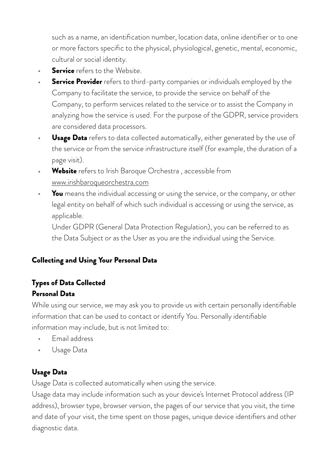such as a name, an identification number, location data, online identifier or to one or more factors specific to the physical, physiological, genetic, mental, economic, cultural or social identity.

- **Service** refers to the Website.
- **Service Provider** refers to third-party companies or individuals employed by the Company to facilitate the service, to provide the service on behalf of the Company, to perform services related to the service or to assist the Company in analyzing how the service is used. For the purpose of the GDPR, service providers are considered data processors.
- **Usage Data** refers to data collected automatically, either generated by the use of the service or from the service infrastructure itself (for example, the duration of a page visit).
- **•** Website refers to Irish Baroque Orchestra , accessible from [www.irishbaroqueorchestra.com](https://www.privacypolicies.com/live/www.irishbaroqueorchestra.com)
- You means the individual accessing or using the service, or the company, or other legal entity on behalf of which such individual is accessing or using the service, as applicable.

Under GDPR (General Data Protection Regulation), you can be referred to as the Data Subject or as the User as you are the individual using the Service.

## Collecting and Using Your Personal Data

## Types of Data Collected Personal Data

While using our service, we may ask you to provide us with certain personally identifiable information that can be used to contact or identify You. Personally identifiable information may include, but is not limited to:

- Email address
- Usage Data

# Usage Data

Usage Data is collected automatically when using the service.

Usage data may include information such as your device's Internet Protocol address (IP address), browser type, browser version, the pages of our service that you visit, the time and date of your visit, the time spent on those pages, unique device identifiers and other diagnostic data.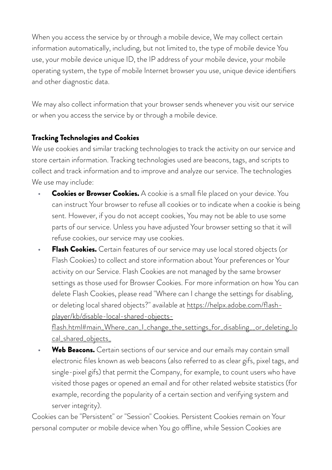When you access the service by or through a mobile device, We may collect certain information automatically, including, but not limited to, the type of mobile device You use, your mobile device unique ID, the IP address of your mobile device, your mobile operating system, the type of mobile Internet browser you use, unique device identifiers and other diagnostic data.

We may also collect information that your browser sends whenever you visit our service or when you access the service by or through a mobile device.

#### Tracking Technologies and Cookies

We use cookies and similar tracking technologies to track the activity on our service and store certain information. Tracking technologies used are beacons, tags, and scripts to collect and track information and to improve and analyze our service. The technologies We use may include:

- **Cookies or Browser Cookies.** A cookie is a small file placed on your device. You can instruct Your browser to refuse all cookies or to indicate when a cookie is being sent. However, if you do not accept cookies, You may not be able to use some parts of our service. Unless you have adjusted Your browser setting so that it will refuse cookies, our service may use cookies.
- **Flash Cookies.** Certain features of our service may use local stored objects (or Flash Cookies) to collect and store information about Your preferences or Your activity on our Service. Flash Cookies are not managed by the same browser settings as those used for Browser Cookies. For more information on how You can delete Flash Cookies, please read "Where can I change the settings for disabling, or deleting local shared objects?" available at [https://helpx.adobe.com/flash](https://helpx.adobe.com/flash-player/kb/disable-local-shared-objects-flash.html#main_Where_can_I_change_the_settings_for_disabling__or_deleting_local_shared_objects_)[player/kb/disable-local-shared-objects-](https://helpx.adobe.com/flash-player/kb/disable-local-shared-objects-flash.html#main_Where_can_I_change_the_settings_for_disabling__or_deleting_local_shared_objects_)

[flash.html#main\\_Where\\_can\\_I\\_change\\_the\\_settings\\_for\\_disabling\\_\\_or\\_deleting\\_lo](https://helpx.adobe.com/flash-player/kb/disable-local-shared-objects-flash.html#main_Where_can_I_change_the_settings_for_disabling__or_deleting_local_shared_objects_) [cal\\_shared\\_objects\\_](https://helpx.adobe.com/flash-player/kb/disable-local-shared-objects-flash.html#main_Where_can_I_change_the_settings_for_disabling__or_deleting_local_shared_objects_)

Web Beacons. Certain sections of our service and our emails may contain small electronic files known as web beacons (also referred to as clear gifs, pixel tags, and single-pixel gifs) that permit the Company, for example, to count users who have visited those pages or opened an email and for other related website statistics (for example, recording the popularity of a certain section and verifying system and server integrity).

Cookies can be "Persistent" or "Session" Cookies. Persistent Cookies remain on Your personal computer or mobile device when You go ofine, while Session Cookies are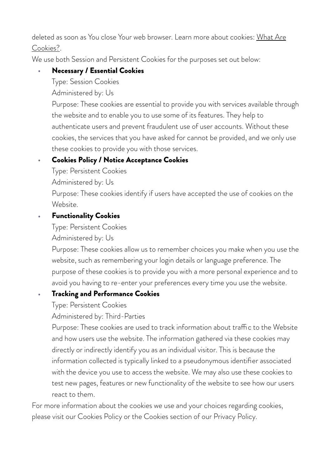#### deleted as soon as You close Your web browser. Learn more about cookies: What Are [Cookies?](https://www.privacypolicies.com/blog/cookies/).

We use both Session and Persistent Cookies for the purposes set out below:

### **•** Necessary / Essential Cookies

Type: Session Cookies

Administered by: Us

Purpose: These cookies are essential to provide you with services available through the website and to enable you to use some of its features. They help to authenticate users and prevent fraudulent use of user accounts. Without these cookies, the services that you have asked for cannot be provided, and we only use these cookies to provide you with those services.

## **•** Cookies Policy / Notice Acceptance Cookies

Type: Persistent Cookies

Administered by: Us

Purpose: These cookies identify if users have accepted the use of cookies on the Website.

#### **•** Functionality Cookies

Type: Persistent Cookies

Administered by: Us

Purpose: These cookies allow us to remember choices you make when you use the website, such as remembering your login details or language preference. The purpose of these cookies is to provide you with a more personal experience and to avoid you having to re-enter your preferences every time you use the website.

## **•** Tracking and Performance Cookies

Type: Persistent Cookies

Administered by: Third-Parties

Purpose: These cookies are used to track information about traffic to the Website and how users use the website. The information gathered via these cookies may directly or indirectly identify you as an individual visitor. This is because the information collected is typically linked to a pseudonymous identifier associated with the device you use to access the website. We may also use these cookies to test new pages, features or new functionality of the website to see how our users react to them.

For more information about the cookies we use and your choices regarding cookies, please visit our Cookies Policy or the Cookies section of our Privacy Policy.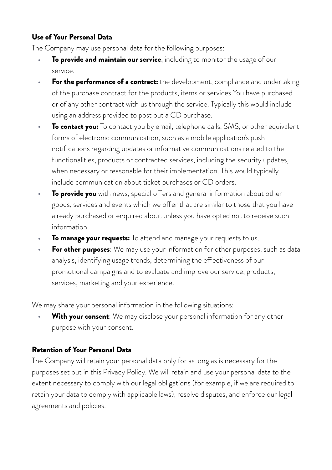#### Use of Your Personal Data

The Company may use personal data for the following purposes:

- **To provide and maintain our service**, including to monitor the usage of our service.
- **For the performance of a contract:** the development, compliance and undertaking of the purchase contract for the products, items or services You have purchased or of any other contract with us through the service. Typically this would include using an address provided to post out a CD purchase.
- **To contact you:** To contact you by email, telephone calls, SMS, or other equivalent forms of electronic communication, such as a mobile application's push notifications regarding updates or informative communications related to the functionalities, products or contracted services, including the security updates, when necessary or reasonable for their implementation. This would typically include communication about ticket purchases or CD orders.
- **To provide you** with news, special offers and general information about other goods, services and events which we offer that are similar to those that you have already purchased or enquired about unless you have opted not to receive such information.
- **To manage your requests:** To attend and manage your requests to us.
- **For other purposes**: We may use your information for other purposes, such as data analysis, identifying usage trends, determining the effectiveness of our promotional campaigns and to evaluate and improve our service, products, services, marketing and your experience.

We may share your personal information in the following situations:

**With your consent**: We may disclose your personal information for any other purpose with your consent.

#### Retention of Your Personal Data

The Company will retain your personal data only for as long as is necessary for the purposes set out in this Privacy Policy. We will retain and use your personal data to the extent necessary to comply with our legal obligations (for example, if we are required to retain your data to comply with applicable laws), resolve disputes, and enforce our legal agreements and policies.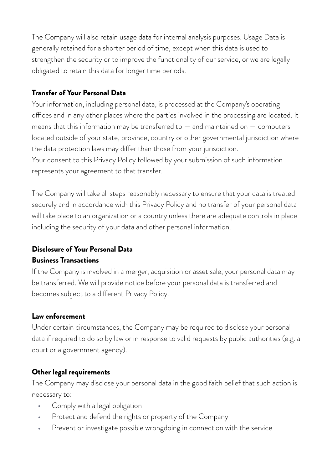The Company will also retain usage data for internal analysis purposes. Usage Data is generally retained for a shorter period of time, except when this data is used to strengthen the security or to improve the functionality of our service, or we are legally obligated to retain this data for longer time periods.

#### Transfer of Your Personal Data

Your information, including personal data, is processed at the Company's operating offices and in any other places where the parties involved in the processing are located. It means that this information may be transferred to  $-$  and maintained on  $-$  computers located outside of your state, province, country or other governmental jurisdiction where the data protection laws may difer than those from your jurisdiction. Your consent to this Privacy Policy followed by your submission of such information represents your agreement to that transfer.

The Company will take all steps reasonably necessary to ensure that your data is treated securely and in accordance with this Privacy Policy and no transfer of your personal data will take place to an organization or a country unless there are adequate controls in place including the security of your data and other personal information.

#### Disclosure of Your Personal Data

#### Business Transactions

If the Company is involved in a merger, acquisition or asset sale, your personal data may be transferred. We will provide notice before your personal data is transferred and becomes subject to a diferent Privacy Policy.

#### Law enforcement

Under certain circumstances, the Company may be required to disclose your personal data if required to do so by law or in response to valid requests by public authorities (e.g. a court or a government agency).

#### Other legal requirements

The Company may disclose your personal data in the good faith belief that such action is necessary to:

- Comply with a legal obligation
- Protect and defend the rights or property of the Company
- Prevent or investigate possible wrongdoing in connection with the service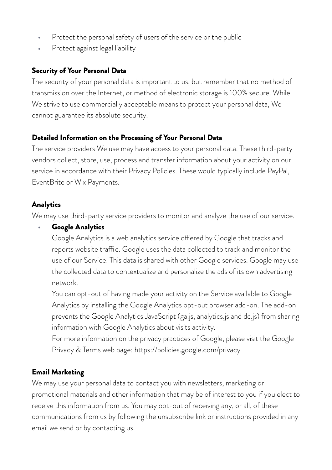- Protect the personal safety of users of the service or the public
- Protect against legal liability

#### Security of Your Personal Data

The security of your personal data is important to us, but remember that no method of transmission over the Internet, or method of electronic storage is 100% secure. While We strive to use commercially acceptable means to protect your personal data, We cannot guarantee its absolute security.

#### Detailed Information on the Processing of Your Personal Data

The service providers We use may have access to your personal data. These third-party vendors collect, store, use, process and transfer information about your activity on our service in accordance with their Privacy Policies. These would typically include PayPal, EventBrite or Wix Payments.

#### Analytics

We may use third-party service providers to monitor and analyze the use of our service.

#### **•** Google Analytics

Google Analytics is a web analytics service offered by Google that tracks and reports website traffic. Google uses the data collected to track and monitor the use of our Service. This data is shared with other Google services. Google may use the collected data to contextualize and personalize the ads of its own advertising network.

You can opt-out of having made your activity on the Service available to Google Analytics by installing the Google Analytics opt-out browser add-on. The add-on prevents the Google Analytics JavaScript (ga.js, analytics.js and dc.js) from sharing information with Google Analytics about visits activity.

For more information on the privacy practices of Google, please visit the Google Privacy & Terms web page:<https://policies.google.com/privacy>

## Email Marketing

We may use your personal data to contact you with newsletters, marketing or promotional materials and other information that may be of interest to you if you elect to receive this information from us. You may opt-out of receiving any, or all, of these communications from us by following the unsubscribe link or instructions provided in any email we send or by contacting us.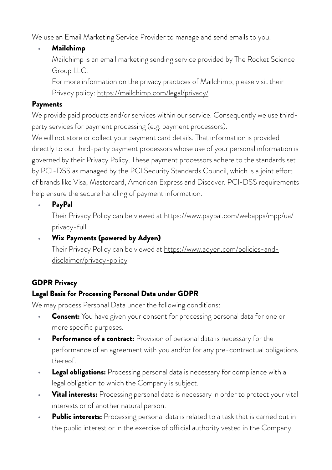We use an Email Marketing Service Provider to manage and send emails to you.

**•** Mailchimp

Mailchimp is an email marketing sending service provided by The Rocket Science Group LLC.

For more information on the privacy practices of Mailchimp, please visit their Privacy policy:<https://mailchimp.com/legal/privacy/>

#### Payments

We provide paid products and/or services within our service. Consequently we use thirdparty services for payment processing (e.g. payment processors).

We will not store or collect your payment card details. That information is provided directly to our third-party payment processors whose use of your personal information is governed by their Privacy Policy. These payment processors adhere to the standards set by PCI-DSS as managed by the PCI Security Standards Council, which is a joint efort of brands like Visa, Mastercard, American Express and Discover. PCI-DSS requirements help ensure the secure handling of payment information.

**•** PayPal

Their Privacy Policy can be viewed at [https://www.paypal.com/webapps/mpp/ua/](https://www.paypal.com/webapps/mpp/ua/privacy-full) [privacy-full](https://www.paypal.com/webapps/mpp/ua/privacy-full)

**•** Wix Payments (powered by Adyen) Their Privacy Policy can be viewed at [https://www.adyen.com/policies-and](https://www.adyen.com/policies-and-disclaimer/privacy-policy)[disclaimer/privacy-policy](https://www.adyen.com/policies-and-disclaimer/privacy-policy)

# GDPR Privacy

# Legal Basis for Processing Personal Data under GDPR

We may process Personal Data under the following conditions:

- **Consent:** You have given your consent for processing personal data for one or more specific purposes.
- **Performance of a contract:** Provision of personal data is necessary for the performance of an agreement with you and/or for any pre-contractual obligations thereof.
- **Legal obligations:** Processing personal data is necessary for compliance with a legal obligation to which the Company is subject.
- **Vital interests:** Processing personal data is necessary in order to protect your vital interests or of another natural person.
- **Public interests:** Processing personal data is related to a task that is carried out in the public interest or in the exercise of official authority vested in the Company.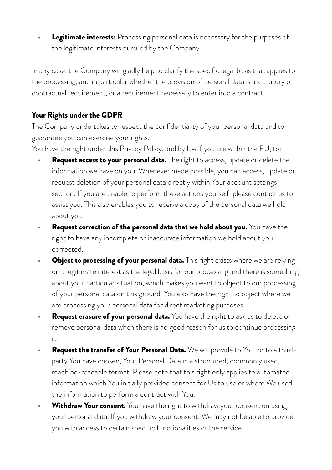**Legitimate interests:** Processing personal data is necessary for the purposes of the legitimate interests pursued by the Company.

In any case, the Company will gladly help to clarify the specific legal basis that applies to the processing, and in particular whether the provision of personal data is a statutory or contractual requirement, or a requirement necessary to enter into a contract.

#### Your Rights under the GDPR

The Company undertakes to respect the confidentiality of your personal data and to guarantee you can exercise your rights.

You have the right under this Privacy Policy, and by law if you are within the EU, to:

- **Request access to your personal data.** The right to access, update or delete the information we have on you. Whenever made possible, you can access, update or request deletion of your personal data directly within Your account settings section. If you are unable to perform these actions yourself, please contact us to assist you. This also enables you to receive a copy of the personal data we hold about you.
- **Request correction of the personal data that we hold about you.** You have the right to have any incomplete or inaccurate information we hold about you corrected.
- **Object to processing of your personal data.** This right exists where we are relying on a legitimate interest as the legal basis for our processing and there is something about your particular situation, which makes you want to object to our processing of your personal data on this ground. You also have the right to object where we are processing your personal data for direct marketing purposes.
- **Request erasure of your personal data.** You have the right to ask us to delete or remove personal data when there is no good reason for us to continue processing it.
- **Request the transfer of Your Personal Data.** We will provide to You, or to a thirdparty You have chosen, Your Personal Data in a structured, commonly used, machine-readable format. Please note that this right only applies to automated information which You initially provided consent for Us to use or where We used the information to perform a contract with You.
- **Withdraw Your consent.** You have the right to withdraw your consent on using your personal data. If you withdraw your consent, We may not be able to provide you with access to certain specific functionalities of the service.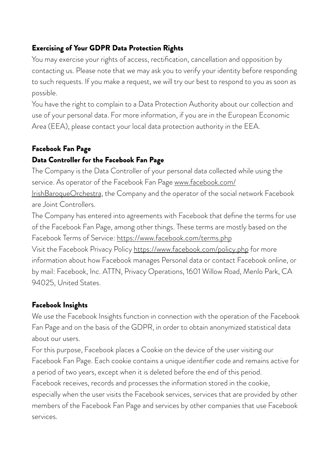## Exercising of Your GDPR Data Protection Rights

You may exercise your rights of access, rectification, cancellation and opposition by contacting us. Please note that we may ask you to verify your identity before responding to such requests. If you make a request, we will try our best to respond to you as soon as possible.

You have the right to complain to a Data Protection Authority about our collection and use of your personal data. For more information, if you are in the European Economic Area (EEA), please contact your local data protection authority in the EEA.

# Facebook Fan Page

## Data Controller for the Facebook Fan Page

The Company is the Data Controller of your personal data collected while using the service. As operator of the Facebook Fan Page [www.facebook.com/](https://www.privacypolicies.com/live/www.facebook.com/IrishBaroqueOrchestra) [IrishBaroqueOrchestra,](https://www.privacypolicies.com/live/www.facebook.com/IrishBaroqueOrchestra) the Company and the operator of the social network Facebook

are Joint Controllers.

The Company has entered into agreements with Facebook that define the terms for use of the Facebook Fan Page, among other things. These terms are mostly based on the Facebook Terms of Service: <https://www.facebook.com/terms.php>

Visit the Facebook Privacy Policy <https://www.facebook.com/policy.php> for more information about how Facebook manages Personal data or contact Facebook online, or by mail: Facebook, Inc. ATTN, Privacy Operations, 1601 Willow Road, Menlo Park, CA 94025, United States.

## Facebook Insights

We use the Facebook Insights function in connection with the operation of the Facebook Fan Page and on the basis of the GDPR, in order to obtain anonymized statistical data about our users.

For this purpose, Facebook places a Cookie on the device of the user visiting our Facebook Fan Page. Each cookie contains a unique identifier code and remains active for a period of two years, except when it is deleted before the end of this period. Facebook receives, records and processes the information stored in the cookie, especially when the user visits the Facebook services, services that are provided by other members of the Facebook Fan Page and services by other companies that use Facebook services.